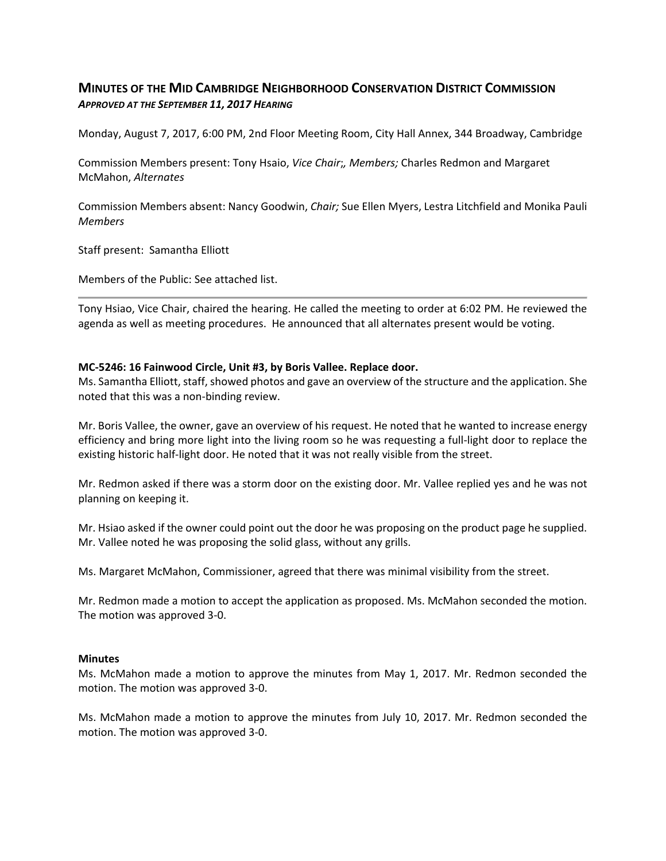## **MINUTES OF THE MID CAMBRIDGE NEIGHBORHOOD CONSERVATION DISTRICT COMMISSION** *APPROVED AT THE SEPTEMBER 11, 2017 HEARING*

Monday, August 7, 2017, 6:00 PM, 2nd Floor Meeting Room, City Hall Annex, 344 Broadway, Cambridge

Commission Members present: Tony Hsaio, *Vice Chair*;*, Members;* Charles Redmon and Margaret McMahon, *Alternates*

Commission Members absent: Nancy Goodwin, *Chair;* Sue Ellen Myers, Lestra Litchfield and Monika Pauli *Members*

Staff present: Samantha Elliott

Members of the Public: See attached list.

Tony Hsiao, Vice Chair, chaired the hearing. He called the meeting to order at 6:02 PM. He reviewed the agenda as well as meeting procedures. He announced that all alternates present would be voting.

## **MC‐5246: 16 Fainwood Circle, Unit #3, by Boris Vallee. Replace door.**

Ms. Samantha Elliott, staff, showed photos and gave an overview of the structure and the application. She noted that this was a non‐binding review.

Mr. Boris Vallee, the owner, gave an overview of his request. He noted that he wanted to increase energy efficiency and bring more light into the living room so he was requesting a full‐light door to replace the existing historic half‐light door. He noted that it was not really visible from the street.

Mr. Redmon asked if there was a storm door on the existing door. Mr. Vallee replied yes and he was not planning on keeping it.

Mr. Hsiao asked if the owner could point out the door he was proposing on the product page he supplied. Mr. Vallee noted he was proposing the solid glass, without any grills.

Ms. Margaret McMahon, Commissioner, agreed that there was minimal visibility from the street.

Mr. Redmon made a motion to accept the application as proposed. Ms. McMahon seconded the motion. The motion was approved 3‐0.

## **Minutes**

Ms. McMahon made a motion to approve the minutes from May 1, 2017. Mr. Redmon seconded the motion. The motion was approved 3‐0.

Ms. McMahon made a motion to approve the minutes from July 10, 2017. Mr. Redmon seconded the motion. The motion was approved 3‐0.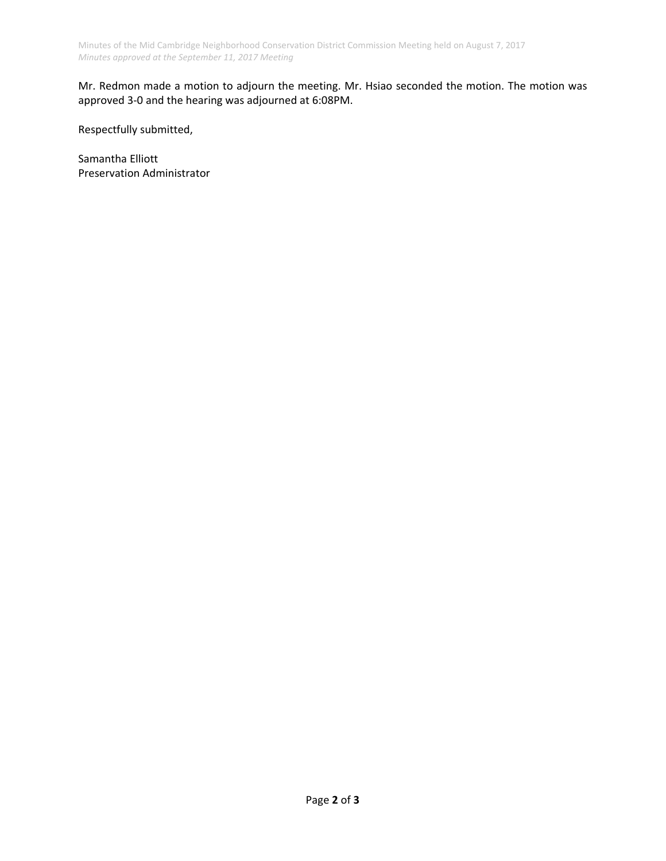Mr. Redmon made a motion to adjourn the meeting. Mr. Hsiao seconded the motion. The motion was approved 3‐0 and the hearing was adjourned at 6:08PM.

Respectfully submitted,

Samantha Elliott Preservation Administrator